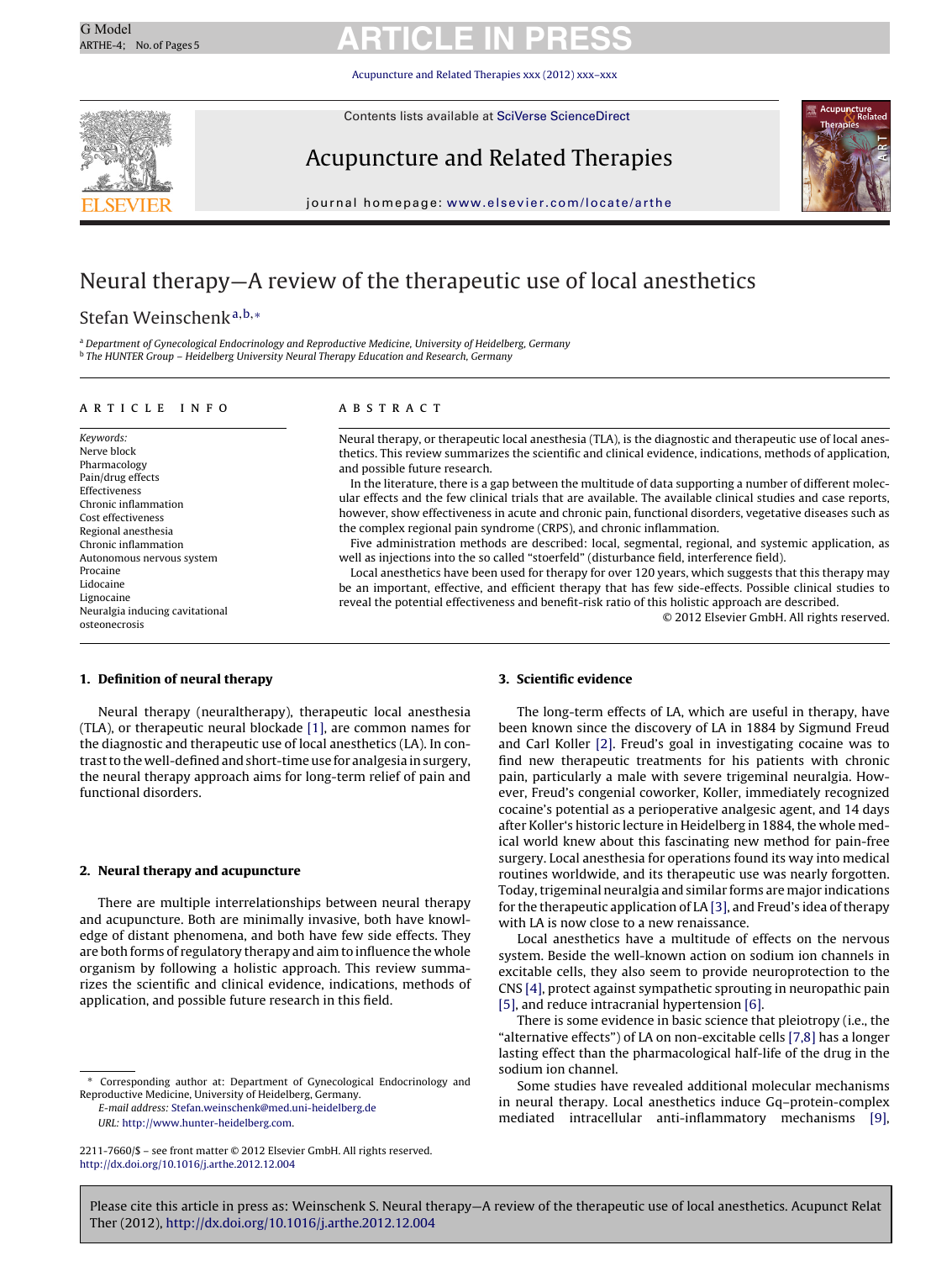[Acupuncture and Related Therapies xxx \(2012\) xxx–xxx](dx.doi.org/10.1016/j.arthe.2012.12.004)

Contents lists available at [SciVerse ScienceDirect](http://www.sciencedirect.com/science/journal/00000000)



Acupuncture and Related Therapies



journal homepage: [www.elsevier.com/locate/arthe](http://www.elsevier.com/locate/arthe)

# Neural therapy—A review of the therapeutic use of local anesthetics

# Stefan Weinschenk<sup>a</sup>,b,<sup>∗</sup>

<sup>a</sup> Department of Gynecological Endocrinology and Reproductive Medicine, University of Heidelberg, Germany <sup>b</sup> The HUNTER Group – Heidelberg University Neural Therapy Education and Research, Germany

### article info

Keywords: Nerve block Pharmacology Pain/drug effects Effectiveness Chronic inflammation Cost effectiveness Regional anesthesia Chronic inflammation Autonomous nervous system Procaine Lidocaine Lignocaine Neuralgia inducing cavitational osteonecrosis

#### ABSTRACT

Neural therapy, or therapeutic local anesthesia (TLA), is the diagnostic and therapeutic use of local anesthetics. This review summarizes the scientific and clinical evidence, indications, methods of application, and possible future research.

In the literature, there is a gap between the multitude of data supporting a number of different molecular effects and the few clinical trials that are available. The available clinical studies and case reports, however, show effectiveness in acute and chronic pain, functional disorders, vegetative diseases such as the complex regional pain syndrome (CRPS), and chronic inflammation.

Five administration methods are described: local, segmental, regional, and systemic application, as well as injections into the so called "stoerfeld" (disturbance field, interference field).

Local anesthetics have been used for therapy for over 120 years, which suggests that this therapy may be an important, effective, and efficient therapy that has few side-effects. Possible clinical studies to reveal the potential effectiveness and benefit-risk ratio of this holistic approach are described.

© 2012 Elsevier GmbH. All rights reserved.

### **1. Definition of neural therapy**

Neural therapy (neuraltherapy), therapeutic local anesthesia (TLA), or therapeutic neural blockade [\[1\], a](#page-3-0)re common names for the diagnostic and therapeutic use of local anesthetics (LA). In contrast to the well-defined and short-time use for analgesia in surgery, the neural therapy approach aims for long-term relief of pain and functional disorders.

# **2. Neural therapy and acupuncture**

There are multiple interrelationships between neural therapy and acupuncture. Both are minimally invasive, both have knowledge of distant phenomena, and both have few side effects. They are both forms of regulatory therapy and aim to influence the whole organism by following a holistic approach. This review summarizes the scientific and clinical evidence, indications, methods of application, and possible future research in this field.

E-mail address: [Stefan.weinschenk@med.uni-heidelberg.de](mailto:Stefan.weinschenk@med.uni-heidelberg.de) URL: <http://www.hunter-heidelberg.com>.

#### **3. Scientific evidence**

The long-term effects of LA, which are useful in therapy, have been known since the discovery of LA in 1884 by Sigmund Freud and Carl Koller [\[2\].](#page-3-0) Freud's goal in investigating cocaine was to find new therapeutic treatments for his patients with chronic pain, particularly a male with severe trigeminal neuralgia. However, Freud's congenial coworker, Koller, immediately recognized cocaine's potential as a perioperative analgesic agent, and 14 days after Koller's historic lecture in Heidelberg in 1884, the whole medical world knew about this fascinating new method for pain-free surgery. Local anesthesia for operations found its way into medical routines worldwide, and its therapeutic use was nearly forgotten. Today, trigeminal neuralgia and similar forms are major indications for the therapeutic application of LA [\[3\], a](#page-3-0)nd Freud's idea of therapy with LA is now close to a new renaissance.

Local anesthetics have a multitude of effects on the nervous system. Beside the well-known action on sodium ion channels in excitable cells, they also seem to provide neuroprotection to the CNS [\[4\], p](#page-3-0)rotect against sympathetic sprouting in neuropathic pain [\[5\], a](#page-3-0)nd reduce intracranial hypertension [\[6\].](#page-3-0)

There is some evidence in basic science that pleiotropy (i.e., the "alternative effects") of LA on non-excitable cells [\[7,8\]](#page-3-0) has a longer lasting effect than the pharmacological half-life of the drug in the sodium ion channel.

Some studies have revealed additional molecular mechanisms in neural therapy. Local anesthetics induce Gq–protein-complex mediated intracellular anti-inflammatory mechanisms [\[9\],](#page-3-0)

Corresponding author at: Department of Gynecological Endocrinology and Reproductive Medicine, University of Heidelberg, Germany.

<sup>2211-7660/\$ –</sup> see front matter © 2012 Elsevier GmbH. All rights reserved. [http://dx.doi.org/10.1016/j.arthe.2012.12.004](dx.doi.org/10.1016/j.arthe.2012.12.004)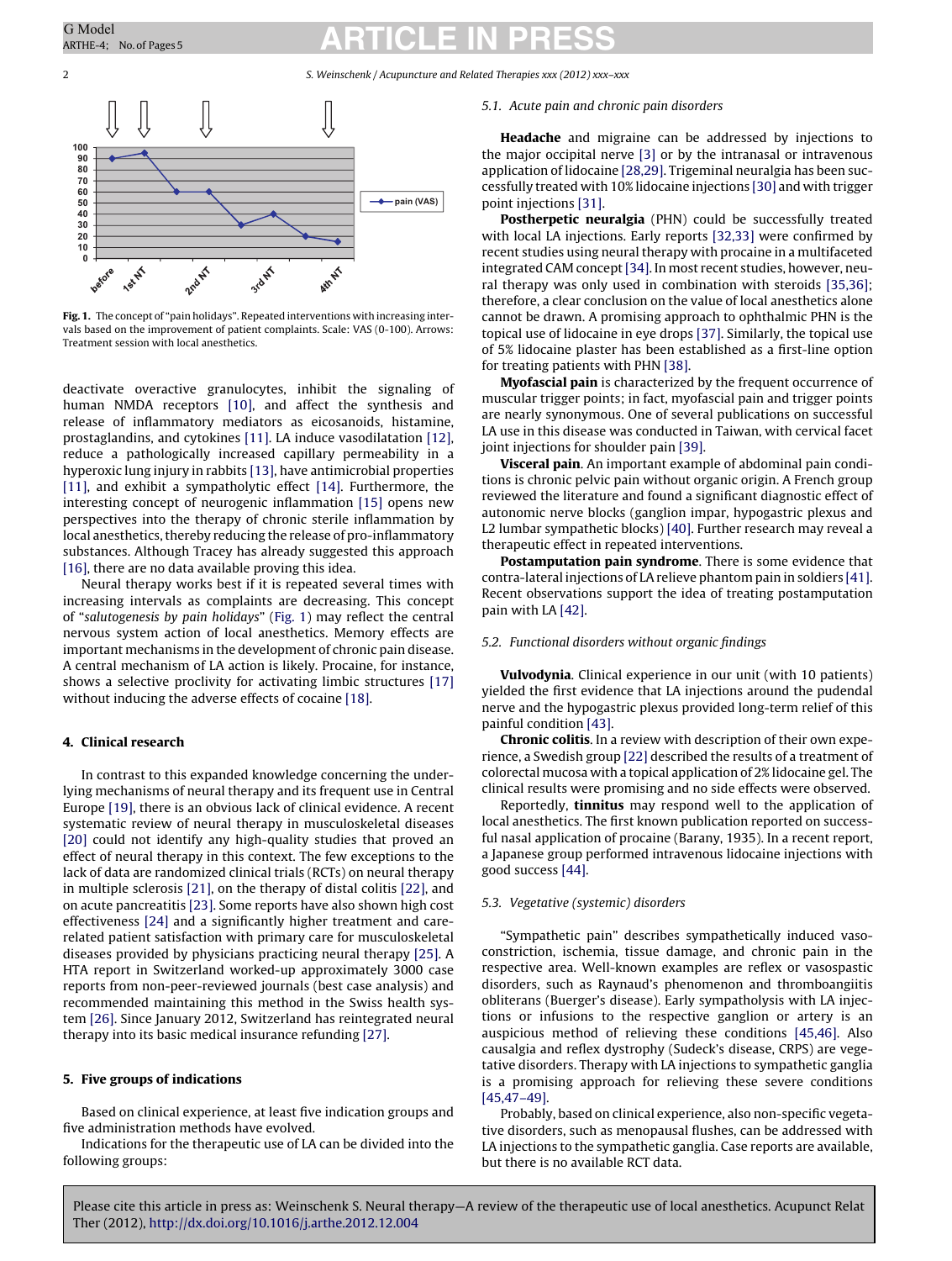2 S. Weinschenk / Acupuncture and Related Therapies xxx (2012) xxx–xxx



**Fig. 1.** The concept of "pain holidays". Repeated interventions with increasing intervals based on the improvement of patient complaints. Scale: VAS (0-100). Arrows: Treatment session with local anesthetics.

deactivate overactive granulocytes, inhibit the signaling of human NMDA receptors [\[10\],](#page-3-0) and affect the synthesis and release of inflammatory mediators as eicosanoids, histamine, prostaglandins, and cytokines [\[11\]. L](#page-3-0)A induce vasodilatation [\[12\],](#page-3-0) reduce a pathologically increased capillary permeability in a hyperoxic lung injury in rabbits [\[13\], h](#page-3-0)ave antimicrobial properties [\[11\],](#page-3-0) and exhibit a sympatholytic effect [\[14\].](#page-3-0) Furthermore, the interesting concept of neurogenic inflammation [\[15\]](#page-3-0) opens new perspectives into the therapy of chronic sterile inflammation by local anesthetics, thereby reducing the release of pro-inflammatory substances. Although Tracey has already suggested this approach [\[16\], t](#page-3-0)here are no data available proving this idea.

Neural therapy works best if it is repeated several times with increasing intervals as complaints are decreasing. This concept of "salutogenesis by pain holidays" (Fig. 1) may reflect the central nervous system action of local anesthetics. Memory effects are important mechanisms in the development of chronic pain disease. A central mechanism of LA action is likely. Procaine, for instance, shows a selective proclivity for activating limbic structures [\[17\]](#page-3-0) without inducing the adverse effects of cocaine [\[18\].](#page-3-0)

### **4. Clinical research**

In contrast to this expanded knowledge concerning the underlying mechanisms of neural therapy and its frequent use in Central Europe [\[19\], t](#page-3-0)here is an obvious lack of clinical evidence. A recent systematic review of neural therapy in musculoskeletal diseases [\[20\]](#page-3-0) could not identify any high-quality studies that proved an effect of neural therapy in this context. The few exceptions to the lack of data are randomized clinical trials (RCTs) on neural therapy in multiple sclerosis [\[21\], o](#page-3-0)n the therapy of distal colitis [\[22\], a](#page-3-0)nd on acute pancreatitis [\[23\]. S](#page-3-0)ome reports have also shown high cost effectiveness [\[24\]](#page-3-0) and a significantly higher treatment and carerelated patient satisfaction with primary care for musculoskeletal diseases provided by physicians practicing neural therapy [\[25\]. A](#page-3-0) HTA report in Switzerland worked-up approximately 3000 case reports from non-peer-reviewed journals (best case analysis) and recommended maintaining this method in the Swiss health system [\[26\]. S](#page-3-0)ince January 2012, Switzerland has reintegrated neural therapy into its basic medical insurance refunding [\[27\].](#page-3-0)

#### **5. Five groups of indications**

Based on clinical experience, at least five indication groups and five administration methods have evolved.

Indications for the therapeutic use of LA can be divided into the following groups:

#### 5.1. Acute pain and chronic pain disorders

**Headache** and migraine can be addressed by injections to the major occipital nerve [\[3\]](#page-3-0) or by the intranasal or intravenous application of lidocaine [\[28,29\]. T](#page-3-0)rigeminal neuralgia has been successfully treated with 10% lidocaine injections [\[30\]](#page-3-0) and with trigger point injections [\[31\].](#page-3-0)

**Postherpetic neuralgia** (PHN) could be successfully treated with local LA injections. Early reports [\[32,33\]](#page-3-0) were confirmed by recent studies using neural therapy with procaine in a multifaceted integrated CAM concept [\[34\]. I](#page-3-0)n most recent studies, however, neural therapy was only used in combination with steroids [\[35,36\];](#page-3-0) therefore, a clear conclusion on the value of local anesthetics alone cannot be drawn. A promising approach to ophthalmic PHN is the topical use of lidocaine in eye drops [\[37\]. S](#page-3-0)imilarly, the topical use of 5% lidocaine plaster has been established as a first-line option for treating patients with PHN [\[38\].](#page-3-0)

**Myofascial pain** is characterized by the frequent occurrence of muscular trigger points; in fact, myofascial pain and trigger points are nearly synonymous. One of several publications on successful LA use in this disease was conducted in Taiwan, with cervical facet joint injections for shoulder pain [\[39\].](#page-3-0)

**Visceral pain**. An important example of abdominal pain conditions is chronic pelvic pain without organic origin. A French group reviewed the literature and found a significant diagnostic effect of autonomic nerve blocks (ganglion impar, hypogastric plexus and L2 lumbar sympathetic blocks) [\[40\]. F](#page-3-0)urther research may reveal a therapeutic effect in repeated interventions.

**Postamputation pain syndrome**. There is some evidence that contra-lateral injections of LA relieve phantom pain in soldiers [\[41\].](#page-3-0) Recent observations support the idea of treating postamputation pain with LA [\[42\].](#page-3-0)

### 5.2. Functional disorders without organic findings

**Vulvodynia**. Clinical experience in our unit (with 10 patients) yielded the first evidence that LA injections around the pudendal nerve and the hypogastric plexus provided long-term relief of this painful condition [\[43\].](#page-3-0)

**Chronic colitis**. In a review with description of their own experience, a Swedish group [\[22\]](#page-3-0) described the results of a treatment of colorectal mucosa with a topical application of 2% lidocaine gel. The clinical results were promising and no side effects were observed.

Reportedly, **tinnitus** may respond well to the application of local anesthetics. The first known publication reported on successful nasal application of procaine (Barany, 1935). In a recent report, a Japanese group performed intravenous lidocaine injections with good success [\[44\].](#page-4-0)

#### 5.3. Vegetative (systemic) disorders

"Sympathetic pain" describes sympathetically induced vasoconstriction, ischemia, tissue damage, and chronic pain in the respective area. Well-known examples are reflex or vasospastic disorders, such as Raynaud's phenomenon and thromboangiitis obliterans (Buerger's disease). Early sympatholysis with LA injections or infusions to the respective ganglion or artery is an auspicious method of relieving these conditions [\[45,46\].](#page-4-0) Also causalgia and reflex dystrophy (Sudeck's disease, CRPS) are vegetative disorders. Therapy with LA injections to sympathetic ganglia is a promising approach for relieving these severe conditions [\[45,47–49\].](#page-4-0)

Probably, based on clinical experience, also non-specific vegetative disorders, such as menopausal flushes, can be addressed with LA injections to the sympathetic ganglia. Case reports are available, but there is no available RCT data.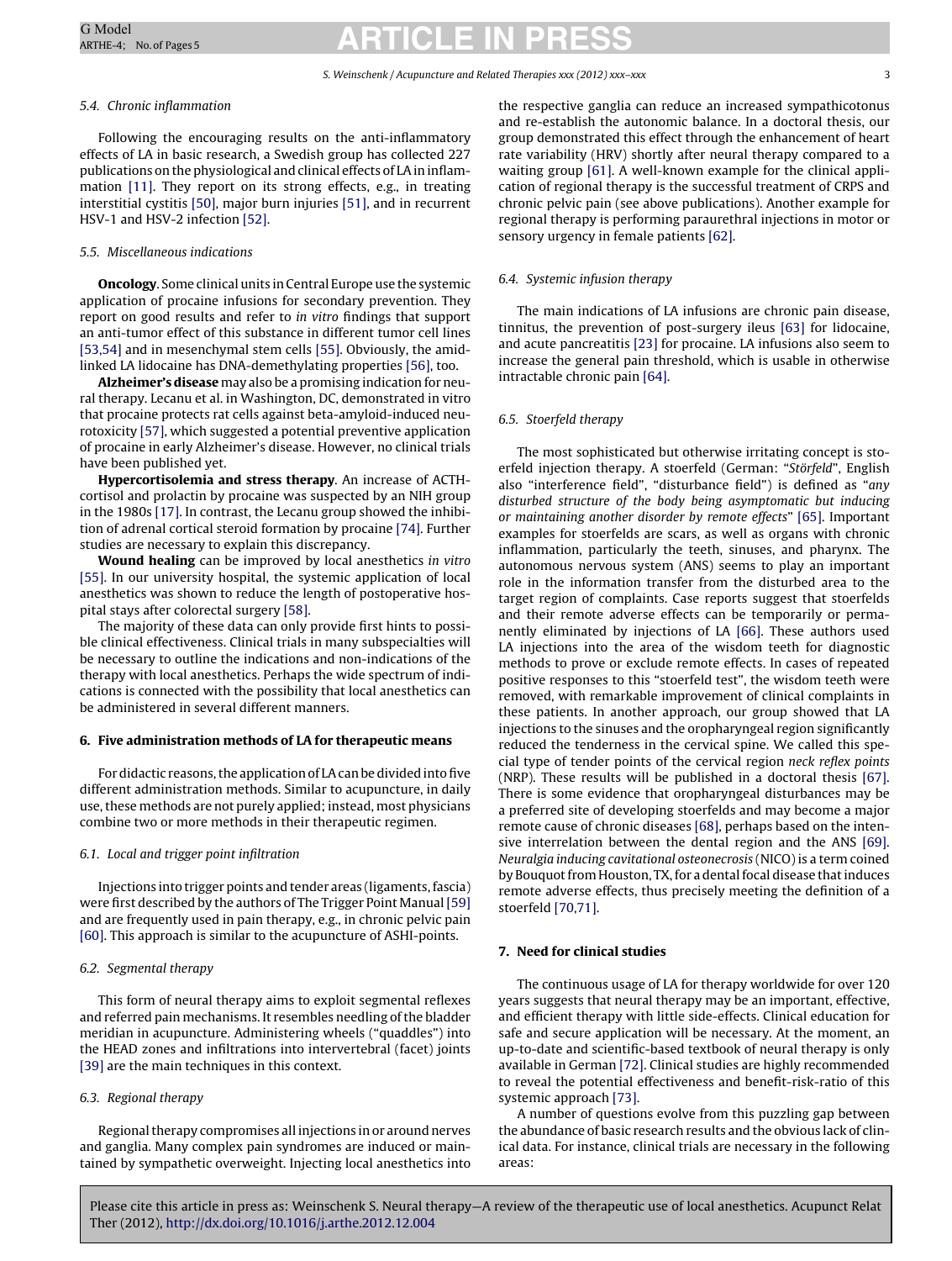#### S. Weinschenk / Acupuncture and Related Therapies xxx (2012) xxx–xxx 33

# 5.4. Chronic inflammation

Following the encouraging results on the anti-inflammatory effects of LA in basic research, a Swedish group has collected 227 publications on the physiological and clinical effects of LA in inflammation [\[11\].](#page-3-0) They report on its strong effects, e.g., in treating interstitial cystitis [\[50\], m](#page-4-0)ajor burn injuries [\[51\], a](#page-4-0)nd in recurrent HSV-1 and HSV-2 infection [\[52\].](#page-4-0)

# 5.5. Miscellaneous indications

**Oncology**. Some clinical units in Central Europe use the systemic application of procaine infusions for secondary prevention. They report on good results and refer to in vitro findings that support an anti-tumor effect of this substance in different tumor cell lines [\[53,54\]](#page-4-0) and in mesenchymal stem cells [\[55\]. O](#page-4-0)bviously, the amidlinked LA lidocaine has DNA-demethylating properties [\[56\], t](#page-4-0)oo.

**Alzheimer's disease** may also be a promising indication for neural therapy. Lecanu et al. in Washington, DC, demonstrated in vitro that procaine protects rat cells against beta-amyloid-induced neurotoxicity [\[57\], w](#page-4-0)hich suggested a potential preventive application of procaine in early Alzheimer's disease. However, no clinical trials have been published yet.

**Hypercortisolemia and stress therapy**. An increase of ACTHcortisol and prolactin by procaine was suspected by an NIH group in the 1980s [\[17\]. I](#page-3-0)n contrast, the Lecanu group showed the inhibition of adrenal cortical steroid formation by procaine [\[74\]. F](#page-4-0)urther studies are necessary to explain this discrepancy.

**Wound healing** can be improved by local anesthetics in vitro [\[55\].](#page-4-0) In our university hospital, the systemic application of local anesthetics was shown to reduce the length of postoperative hospital stays after colorectal surgery [\[58\].](#page-4-0)

The majority of these data can only provide first hints to possible clinical effectiveness. Clinical trials in many subspecialties will be necessary to outline the indications and non-indications of the therapy with local anesthetics. Perhaps the wide spectrum of indications is connected with the possibility that local anesthetics can be administered in several different manners.

# **6. Five administration methods of LA for therapeutic means**

For didactic reasons, the application of LA can be divided into five different administration methods. Similar to acupuncture, in daily use, these methods are not purely applied; instead, most physicians combine two or more methods in their therapeutic regimen.

# 6.1. Local and trigger point infiltration

Injections into trigger points and tender areas (ligaments, fascia) were first described by the authors of The Trigger Point Manual [\[59\]](#page-4-0) and are frequently used in pain therapy, e.g., in chronic pelvic pain [\[60\]. T](#page-4-0)his approach is similar to the acupuncture of ASHI-points.

# 6.2. Segmental therapy

This form of neural therapy aims to exploit segmental reflexes and referred pain mechanisms. It resembles needling of the bladder meridian in acupuncture. Administering wheels ("quaddles") into the HEAD zones and infiltrations into intervertebral (facet) joints [\[39\]](#page-3-0) are the main techniques in this context.

# 6.3. Regional therapy

Regional therapy compromises all injections in or around nerves and ganglia. Many complex pain syndromes are induced or maintained by sympathetic overweight. Injecting local anesthetics into the respective ganglia can reduce an increased sympathicotonus and re-establish the autonomic balance. In a doctoral thesis, our group demonstrated this effect through the enhancement of heart rate variability (HRV) shortly after neural therapy compared to a waiting group [\[61\]. A](#page-4-0) well-known example for the clinical application of regional therapy is the successful treatment of CRPS and chronic pelvic pain (see above publications). Another example for regional therapy is performing paraurethral injections in motor or sensory urgency in female patients [\[62\].](#page-4-0)

# 6.4. Systemic infusion therapy

The main indications of LA infusions are chronic pain disease, tinnitus, the prevention of post-surgery ileus [\[63\]](#page-4-0) for lidocaine, and acute pancreatitis [\[23\]](#page-3-0) for procaine. LA infusions also seem to increase the general pain threshold, which is usable in otherwise intractable chronic pain [\[64\].](#page-4-0)

# 6.5. Stoerfeld therapy

The most sophisticated but otherwise irritating concept is stoerfeld injection therapy. A stoerfeld (German: "Störfeld", English also "interference field", "disturbance field") is defined as "any disturbed structure of the body being asymptomatic but inducing or maintaining another disorder by remote effects" [\[65\]. I](#page-4-0)mportant examples for stoerfelds are scars, as well as organs with chronic inflammation, particularly the teeth, sinuses, and pharynx. The autonomous nervous system (ANS) seems to play an important role in the information transfer from the disturbed area to the target region of complaints. Case reports suggest that stoerfelds and their remote adverse effects can be temporarily or permanently eliminated by injections of LA [\[66\].](#page-4-0) These authors used LA injections into the area of the wisdom teeth for diagnostic methods to prove or exclude remote effects. In cases of repeated positive responses to this "stoerfeld test", the wisdom teeth were removed, with remarkable improvement of clinical complaints in these patients. In another approach, our group showed that LA injections to the sinuses and the oropharyngeal region significantly reduced the tenderness in the cervical spine. We called this special type of tender points of the cervical region neck reflex points (NRP). These results will be published in a doctoral thesis [\[67\].](#page-4-0) There is some evidence that oropharyngeal disturbances may be a preferred site of developing stoerfelds and may become a major remote cause of chronic diseases [\[68\], p](#page-4-0)erhaps based on the intensive interrelation between the dental region and the ANS [\[69\].](#page-4-0) Neuralgia inducing cavitational osteonecrosis (NICO) is a term coined by Bouquot from Houston, TX, for a dental focal disease that induces remote adverse effects, thus precisely meeting the definition of a stoerfeld [\[70,71\].](#page-4-0)

# **7. Need for clinical studies**

The continuous usage of LA for therapy worldwide for over 120 years suggests that neural therapy may be an important, effective, and efficient therapy with little side-effects. Clinical education for safe and secure application will be necessary. At the moment, an up-to-date and scientific-based textbook of neural therapy is only available in German [\[72\]. C](#page-4-0)linical studies are highly recommended to reveal the potential effectiveness and benefit-risk-ratio of this systemic approach [\[73\].](#page-4-0)

A number of questions evolve from this puzzling gap between the abundance of basic research results and the obvious lack of clinical data. For instance, clinical trials are necessary in the following areas: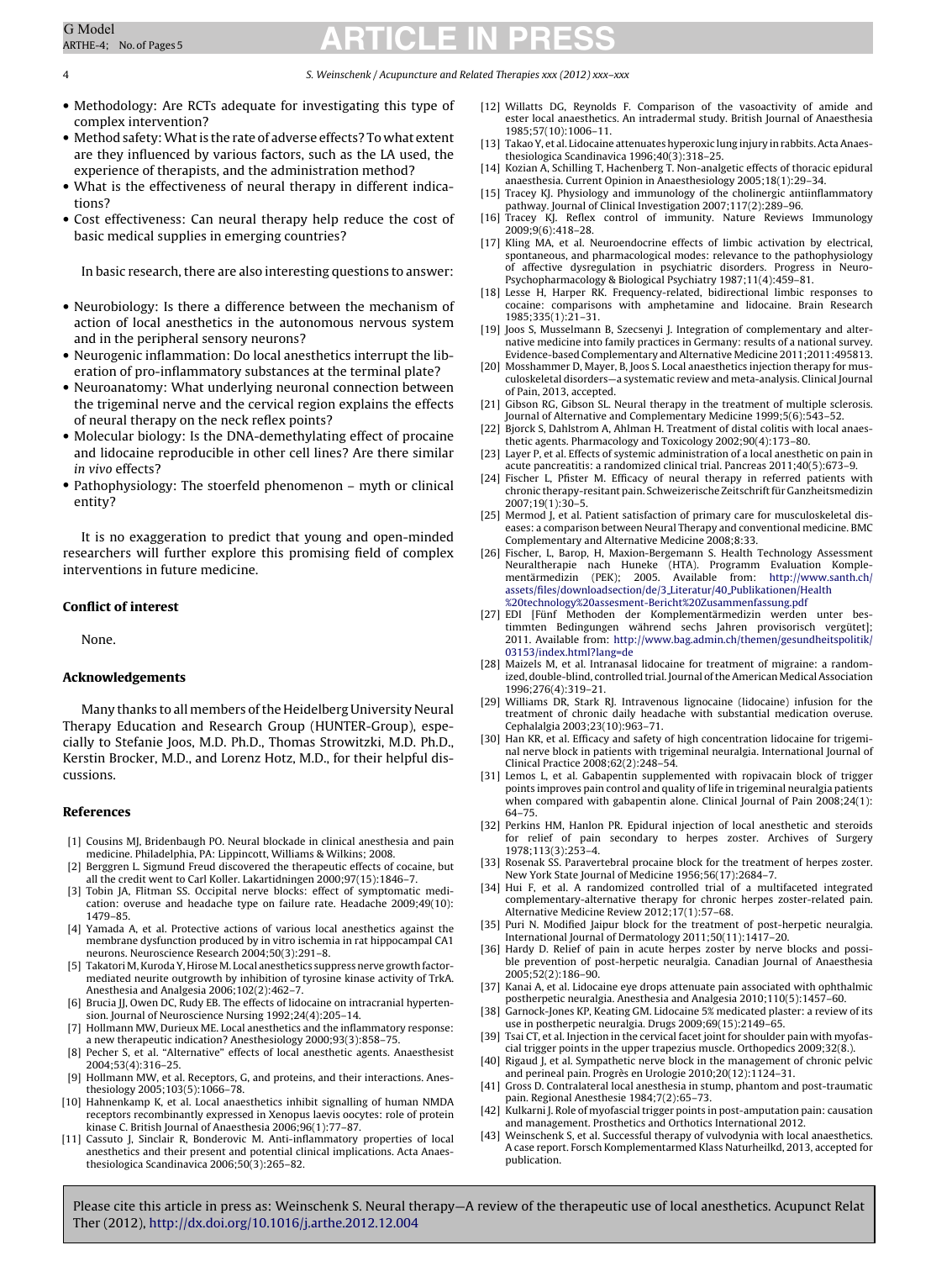5. Weinschenk / Acupuncture and Related Therapies xxx (2012) xxx-xxx

- <span id="page-3-0"></span>• Methodology: Are RCTs adequate for investigating this type of complex intervention?
- Method safety:What is the rate of adverse effects? To what extent are they influenced by various factors, such as the LA used, the experience of therapists, and the administration method?
- What is the effectiveness of neural therapy in different indications?
- Cost effectiveness: Can neural therapy help reduce the cost of basic medical supplies in emerging countries?

In basic research, there are also interesting questions to answer:

- Neurobiology: Is there a difference between the mechanism of action of local anesthetics in the autonomous nervous system and in the peripheral sensory neurons?
- Neurogenic inflammation: Do local anesthetics interrupt the liberation of pro-inflammatory substances at the terminal plate?
- Neuroanatomy: What underlying neuronal connection between the trigeminal nerve and the cervical region explains the effects of neural therapy on the neck reflex points?
- Molecular biology: Is the DNA-demethylating effect of procaine and lidocaine reproducible in other cell lines? Are there similar in vivo effects?
- Pathophysiology: The stoerfeld phenomenon myth or clinical entity?

It is no exaggeration to predict that young and open-minded researchers will further explore this promising field of complex interventions in future medicine.

### **Conflict of interest**

None.

#### **Acknowledgements**

Many thanks to all members of the Heidelberg University Neural Therapy Education and Research Group (HUNTER-Group), especially to Stefanie Joos, M.D. Ph.D., Thomas Strowitzki, M.D. Ph.D., Kerstin Brocker, M.D., and Lorenz Hotz, M.D., for their helpful discussions.

#### **References**

- [1] Cousins MJ, Bridenbaugh PO. Neural blockade in clinical anesthesia and pain medicine. Philadelphia, PA: Lippincott, Williams & Wilkins; 2008.
- [2] Berggren L. Sigmund Freud discovered the therapeutic effects of cocaine, but all the credit went to Carl Koller. Lakartidningen 2000;97(15):1846–7.
- [3] Tobin JA, Flitman SS. Occipital nerve blocks: effect of symptomatic medication: overuse and headache type on failure rate. Headache 2009;49(10): 1479–85.
- [4] Yamada A, et al. Protective actions of various local anesthetics against the membrane dysfunction produced by in vitro ischemia in rat hippocampal CA1 neurons. Neuroscience Research 2004;50(3):291–8.
- [5] Takatori M, Kuroda Y, Hirose M. Local anesthetics suppress nerve growth factormediated neurite outgrowth by inhibition of tyrosine kinase activity of TrkA. Anesthesia and Analgesia 2006;102(2):462–7.
- [6] Brucia JJ, Owen DC, Rudy EB. The effects of lidocaine on intracranial hypertension. Journal of Neuroscience Nursing 1992;24(4):205–14.
- [7] Hollmann MW, Durieux ME. Local anesthetics and the inflammatory response: a new therapeutic indication? Anesthesiology 2000;93(3):858–75.
- [8] Pecher S, et al. "Alternative" effects of local anesthetic agents. Anaesthesist 2004;53(4):316–25.
- [9] Hollmann MW, et al. Receptors, G, and proteins, and their interactions. Anesthesiology 2005;103(5):1066–78.
- [10] Hahnenkamp K, et al. Local anaesthetics inhibit signalling of human NMDA receptors recombinantly expressed in Xenopus laevis oocytes: role of protein kinase C. British Journal of Anaesthesia 2006;96(1):77–87.
- [11] Cassuto J, Sinclair R, Bonderovic M. Anti-inflammatory properties of local anesthetics and their present and potential clinical implications. Acta Anaesthesiologica Scandinavica 2006;50(3):265–82.
- [12] Willatts DG, Reynolds F. Comparison of the vasoactivity of amide and ester local anaesthetics. An intradermal study. British Journal of Anaesthesia 1985;57(10):1006–11.
- [13] Takao Y, et al. Lidocaine attenuates hyperoxic lung injury in rabbits. Acta Anaesthesiologica Scandinavica 1996;40(3):318–25.
- [14] Kozian A, Schilling T, Hachenberg T. Non-analgetic effects of thoracic epidural anaesthesia. Current Opinion in Anaesthesiology 2005;18(1):29–34.
- [15] Tracey KJ. Physiology and immunology of the cholinergic antiinflammatory pathway. Journal of Clinical Investigation 2007;117(2):289–96.
- [16] Tracey KJ. Reflex control of immunity. Nature Reviews Immunology 2009;9(6):418–28.
- [17] Kling MA, et al. Neuroendocrine effects of limbic activation by electrical, spontaneous, and pharmacological modes: relevance to the pathophysiology of affective dysregulation in psychiatric disorders. Progress in Neuro-Psychopharmacology & Biological Psychiatry 1987;11(4):459–81.
- [18] Lesse H, Harper RK. Frequency-related, bidirectional limbic responses to cocaine: comparisons with amphetamine and lidocaine. Brain Research 1985;335(1):21–31.
- [19] Joos S, Musselmann B, Szecsenyi J. Integration of complementary and alternative medicine into family practices in Germany: results of a national survey. Evidence-based Complementary and Alternative Medicine 2011;2011:495813.
- [20] Mosshammer D, Mayer, B, Joos S. Local anaesthetics injection therapy for musculoskeletal disorders—a systematic review and meta-analysis. Clinical Journal of Pain, 2013, accepted.
- [21] Gibson RG, Gibson SL. Neural therapy in the treatment of multiple sclerosis. Journal of Alternative and Complementary Medicine 1999;5(6):543–52.
- [22] Bjorck S, Dahlstrom A, Ahlman H. Treatment of distal colitis with local anaesthetic agents. Pharmacology and Toxicology 2002;90(4):173–80.
- [23] Layer P, et al. Effects of systemic administration of a local anesthetic on pain in acute pancreatitis: a randomized clinical trial. Pancreas 2011;40(5):673–9.
- [24] Fischer L, Pfister M. Efficacy of neural therapy in referred patients with chronic therapy-resitant pain. Schweizerische Zeitschrift für Ganzheitsmedizin 2007;19(1):30–5.
- [25] Mermod J, et al. Patient satisfaction of primary care for musculoskeletal diseases: a comparison between Neural Therapy and conventional medicine. BMC Complementary and Alternative Medicine 2008;8:33.
- [26] Fischer, L, Barop, H, Maxion-Bergemann S. Health Technology Assessment Neuraltherapie nach Huneke (HTA). Programm Evaluation Komple-mentärmedizin (PEK); 2005. Available from: [http://www.santh.ch/](http://www.santh.ch/assets/files/downloadsection/de/3_Literatur/40_Publikationen/Health technology assesment-Bericht Zusammenfassung.pdf) [assets/files/downloadsection/de/3](http://www.santh.ch/assets/files/downloadsection/de/3_Literatur/40_Publikationen/Health technology assesment-Bericht Zusammenfassung.pdf) Literatur/40 Publikationen/Health [%20technology%20assesment-Bericht%20Zusammenfassung.pdf](http://www.santh.ch/assets/files/downloadsection/de/3_Literatur/40_Publikationen/Health technology assesment-Bericht Zusammenfassung.pdf)
- [27] EDI [Fünf Methoden der Komplementärmedizin werden unter bes-timmten Bedingungen während sechs Jahren provisorisch vergütet]; 2011. Available from: [http://www.bag.admin.ch/themen/gesundheitspolitik/](http://www.bag.admin.ch/themen/gesundheitspolitik/03153/index.html?lang=de) [03153/index.html?lang=de](http://www.bag.admin.ch/themen/gesundheitspolitik/03153/index.html?lang=de)
- [28] Maizels M, et al. Intranasal lidocaine for treatment of migraine: a randomized, double-blind, controlled trial. Journal of the American Medical Association 1996;276(4):319–21.
- [29] Williams DR, Stark RJ. Intravenous lignocaine (lidocaine) infusion for the treatment of chronic daily headache with substantial medication overuse. Cephalalgia 2003;23(10):963–71.
- [30] Han KR, et al. Efficacy and safety of high concentration lidocaine for trigeminal nerve block in patients with trigeminal neuralgia. International Journal of Clinical Practice 2008;62(2):248–54.
- [31] Lemos L, et al. Gabapentin supplemented with ropivacain block of trigger points improves pain control and quality of life in trigeminal neuralgia patients when compared with gabapentin alone. Clinical Journal of Pain 2008;24(1): 64–75.
- [32] Perkins HM, Hanlon PR. Epidural injection of local anesthetic and steroids for relief of pain secondary to herpes zoster. Archives of Surgery 1978;113(3):253–4.
- [33] Rosenak SS. Paravertebral procaine block for the treatment of herpes zoster. New York State Journal of Medicine 1956;56(17):2684–7.
- [34] Hui F, et al. A randomized controlled trial of a multifaceted integrated complementary-alternative therapy for chronic herpes zoster-related pain. Alternative Medicine Review 2012;17(1):57–68.
- [35] Puri N. Modified Jaipur block for the treatment of post-herpetic neuralgia. International Journal of Dermatology 2011;50(11):1417–20.
- [36] Hardy D. Relief of pain in acute herpes zoster by nerve blocks and possible prevention of post-herpetic neuralgia. Canadian Journal of Anaesthesia 2005;52(2):186–90.
- [37] Kanai A, et al. Lidocaine eye drops attenuate pain associated with ophthalmic postherpetic neuralgia. Anesthesia and Analgesia 2010;110(5):1457–60.
- [38] Garnock-Jones KP, Keating GM. Lidocaine 5% medicated plaster: a review of its use in postherpetic neuralgia. Drugs 2009;69(15):2149–65.
- [39] Tsai CT, et al. Injection in the cervical facet joint for shoulder pain with myofascial trigger points in the upper trapezius muscle. Orthopedics 2009;32(8.).
- [40] Rigaud J, et al. Sympathetic nerve block in the management of chronic pelvic and perineal pain. Progrès en Urologie 2010;20(12):1124–31. [41] Gross D. Contralateral local anesthesia in stump, phantom and post-traumatic
- pain. Regional Anesthesie 1984;7(2):65–73. [42] Kulkarni J. Role of myofascial trigger points in post-amputation pain: causation and management. Prosthetics and Orthotics International 2012.
- Weinschenk S, et al. Successful therapy of vulvodynia with local anaesthetics. A case report. Forsch Komplementarmed Klass Naturheilkd, 2013, accepted for publication.